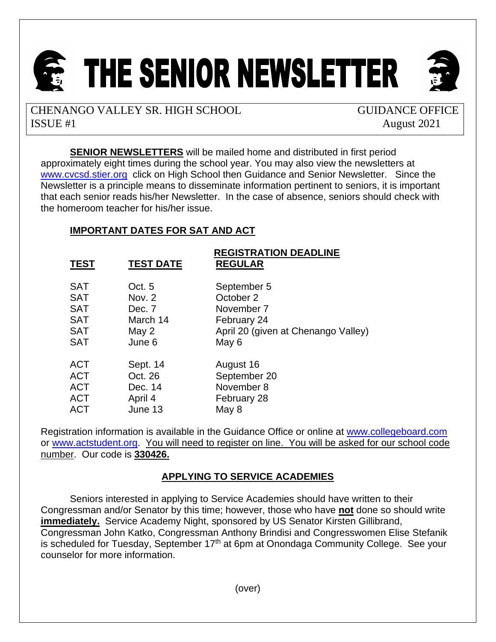

CHENANGO VALLEY SR. HIGH SCHOOL GUIDANCE OFFICE ISSUE #1 August 2021

**SENIOR NEWSLETTERS** will be mailed home and distributed in first period approximately eight times during the school year. You may also view the newsletters at [www.cvcsd.stier.org](http://www.cvcsd.stier.org/) click on High School then Guidance and Senior Newsletter. Since the Newsletter is a principle means to disseminate information pertinent to seniors, it is important that each senior reads his/her Newsletter. In the case of absence, seniors should check with the homeroom teacher for his/her issue.

# **IMPORTANT DATES FOR SAT AND ACT**

| <b>TEST</b> | <b>TEST DATE</b> | <b>REGISTRATION DEADLINE</b><br><b>REGULAR</b> |
|-------------|------------------|------------------------------------------------|
| <b>SAT</b>  | Oct. 5           | September 5                                    |
| <b>SAT</b>  | Nov. 2           | October 2                                      |
| <b>SAT</b>  | Dec. 7           | November 7                                     |
| <b>SAT</b>  | March 14         | February 24                                    |
| <b>SAT</b>  | May 2            | April 20 (given at Chenango Valley)            |
| <b>SAT</b>  | June 6           | May 6                                          |
| <b>ACT</b>  | Sept. 14         | August 16                                      |
| <b>ACT</b>  | Oct. 26          | September 20                                   |
| <b>ACT</b>  | Dec. 14          | November 8                                     |
| <b>ACT</b>  | April 4          | February 28                                    |
| <b>ACT</b>  | June 13          | May 8                                          |

Registration information is available in the Guidance Office or online at [www.collegeboard.com](http://www.collegeboard.com/) or [www.actstudent.org.](http://www.actstudent.org/) You will need to register on line. You will be asked for our school code number. Our code is **330426.**

# **APPLYING TO SERVICE ACADEMIES**

Seniors interested in applying to Service Academies should have written to their Congressman and/or Senator by this time; however, those who have **not** done so should write **immediately.** Service Academy Night, sponsored by US Senator Kirsten Gillibrand. Congressman John Katko, Congressman Anthony Brindisi and Congresswomen Elise Stefanik is scheduled for Tuesday, September 17<sup>th</sup> at 6pm at Onondaga Community College. See your counselor for more information.